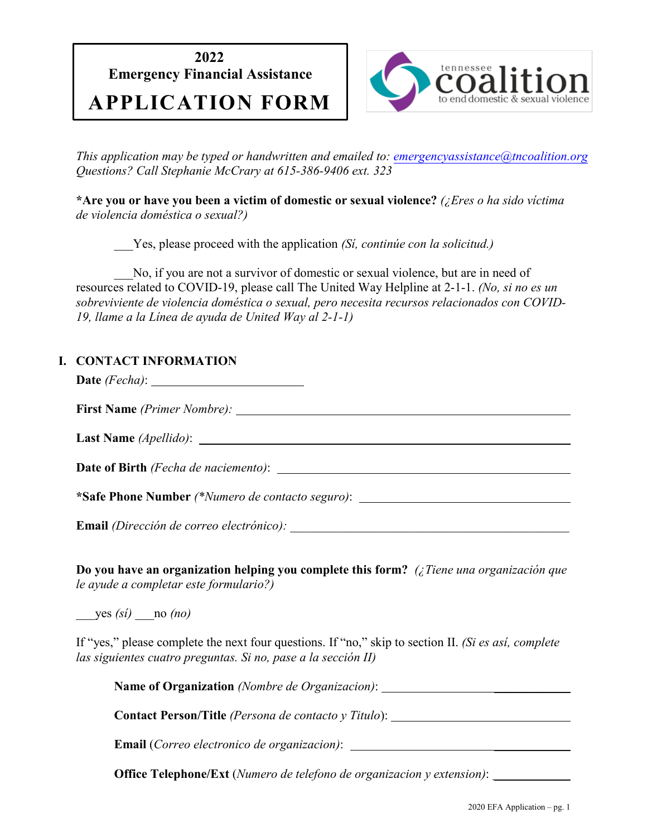



*This application may be typed or handwritten and emailed to: [emergencyassistance@tncoalition.org](mailto:emergencyassistance@tncoalition.org) Questions? Call Stephanie McCrary at 615-386-9406 ext. 323*

**\*Are you or have you been a victim of domestic or sexual violence?** *(¿Eres o ha sido víctima de violencia doméstica o sexual?)*

\_\_\_Yes, please proceed with the application *(Sí, continúe con la solicitud.)*

No, if you are not a survivor of domestic or sexual violence, but are in need of resources related to COVID-19, please call The United Way Helpline at 2-1-1. *(No, si no es un sobreviviente de violencia doméstica o sexual, pero necesita recursos relacionados con COVID-19, llame a la Línea de ayuda de United Way al 2-1-1)*

# **I. CONTACT INFORMATION**

| <b>*Safe Phone Number</b> (*Numero de contacto seguro): |  |
|---------------------------------------------------------|--|
| Email (Dirección de correo electrónico):                |  |

**Do you have an organization helping you complete this form?** *(¿Tiene una organización que le ayude a completar este formulario?)* 

\_\_\_yes *(sí)* \_\_\_no *(no)*

If "yes," please complete the next four questions. If "no," skip to section II. *(Si es así, complete las siguientes cuatro preguntas. Si no, pase a la sección II)* 

**Name of Organization** *(Nombre de Organizacion)*:

**Contact Person/Title** *(Persona de contacto y Titulo*):

**Email** (*Correo electronico de organizacion)*: \_\_\_\_\_\_\_\_\_\_\_\_

**Office Telephone/Ext** (*Numero de telefono de organizacion y extension)*: \_\_\_\_\_\_\_\_\_\_\_\_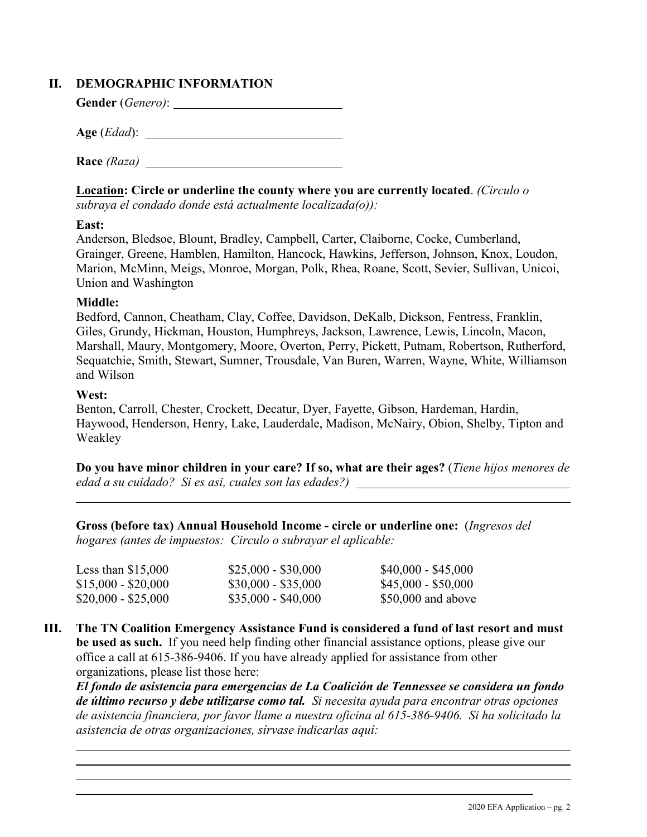# **II. DEMOGRAPHIC INFORMATION**

**Gender** (*Genero)*:

**Age** (*Edad*):

**Race** *(Raza)*

**Location: Circle or underline the county where you are currently located**. *(Circulo o subraya el condado donde está actualmente localizada(o)):*

### **East:**

Anderson, Bledsoe, Blount, Bradley, Campbell, Carter, Claiborne, Cocke, Cumberland, Grainger, Greene, Hamblen, Hamilton, Hancock, Hawkins, Jefferson, Johnson, Knox, Loudon, Marion, McMinn, Meigs, Monroe, Morgan, Polk, Rhea, Roane, Scott, Sevier, Sullivan, Unicoi, Union and Washington

### **Middle:**

Bedford, Cannon, Cheatham, Clay, Coffee, Davidson, DeKalb, Dickson, Fentress, Franklin, Giles, Grundy, Hickman, Houston, Humphreys, Jackson, Lawrence, Lewis, Lincoln, Macon, Marshall, Maury, Montgomery, Moore, Overton, Perry, Pickett, Putnam, Robertson, Rutherford, Sequatchie, Smith, Stewart, Sumner, Trousdale, Van Buren, Warren, Wayne, White, Williamson and Wilson

#### **West:**

 $\overline{a}$ 

 $\overline{a}$ 

Benton, Carroll, Chester, Crockett, Decatur, Dyer, Fayette, Gibson, Hardeman, Hardin, Haywood, Henderson, Henry, Lake, Lauderdale, Madison, McNairy, Obion, Shelby, Tipton and Weakley

**Do you have minor children in your care? If so, what are their ages?** (*Tiene hijos menores de edad a su cuidado? Si es asi, cuales son las edades?)* 

**Gross (before tax) Annual Household Income - circle or underline one:** (*Ingresos del hogares (antes de impuestos: Circulo o subrayar el aplicable:*

| Less than $$15,000$ | $$25,000 - $30,000$ | $$40,000 - $45,000$ |
|---------------------|---------------------|---------------------|
| $$15,000 - $20,000$ | $$30,000 - $35,000$ | $$45,000 - $50,000$ |
| $$20,000 - $25,000$ | $$35,000 - $40,000$ | $$50,000$ and above |

**III. The TN Coalition Emergency Assistance Fund is considered a fund of last resort and must be used as such.** If you need help finding other financial assistance options, please give our office a call at 615-386-9406. If you have already applied for assistance from other organizations, please list those here:

*El fondo de asistencia para emergencias de La Coalición de Tennessee se considera un fondo de último recurso y debe utilizarse como tal.**Si necesita ayuda para encontrar otras opciones de asistencia financiera, por favor llame a nuestra oficina al 615-386-9406. Si ha solicitado la asistencia de otras organizaciones, sírvase indicarlas aquí:*

 $\overline{a}$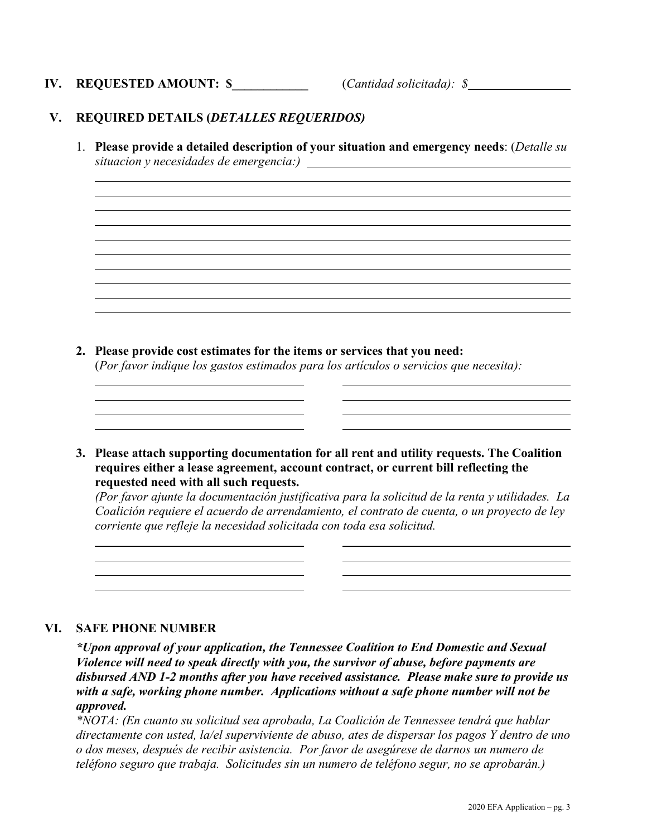# **IV. REQUESTED AMOUNT: \$\_\_\_\_\_\_\_\_\_\_\_\_** (*Cantidad solicitada): \$*

# **V. REQUIRED DETAILS (***DETALLES REQUERIDOS)*

1. **Please provide a detailed description of your situation and emergency needs**: (*Detalle su situacion y necesidades de emergencia:)* 

**2. Please provide cost estimates for the items or services that you need:**  (*Por favor indique los gastos estimados para los artículos o servicios que necesita):* 

**3. Please attach supporting documentation for all rent and utility requests. The Coalition requires either a lease agreement, account contract, or current bill reflecting the requested need with all such requests.** 

*(Por favor ajunte la documentación justificativa para la solicitud de la renta y utilidades. La Coalición requiere el acuerdo de arrendamiento, el contrato de cuenta, o un proyecto de ley corriente que refleje la necesidad solicitada con toda esa solicitud.* 

### **VI. SAFE PHONE NUMBER**

*\*Upon approval of your application, the Tennessee Coalition to End Domestic and Sexual Violence will need to speak directly with you, the survivor of abuse, before payments are disbursed AND 1-2 months after you have received assistance. Please make sure to provide us with a safe, working phone number. Applications without a safe phone number will not be approved.*

*\*NOTA: (En cuanto su solicitud sea aprobada, La Coalición de Tennessee tendrá que hablar directamente con usted, la/el superviviente de abuso, ates de dispersar los pagos Y dentro de uno o dos meses, después de recibir asistencia. Por favor de asegúrese de darnos un numero de teléfono seguro que trabaja. Solicitudes sin un numero de teléfono segur, no se aprobarán.)*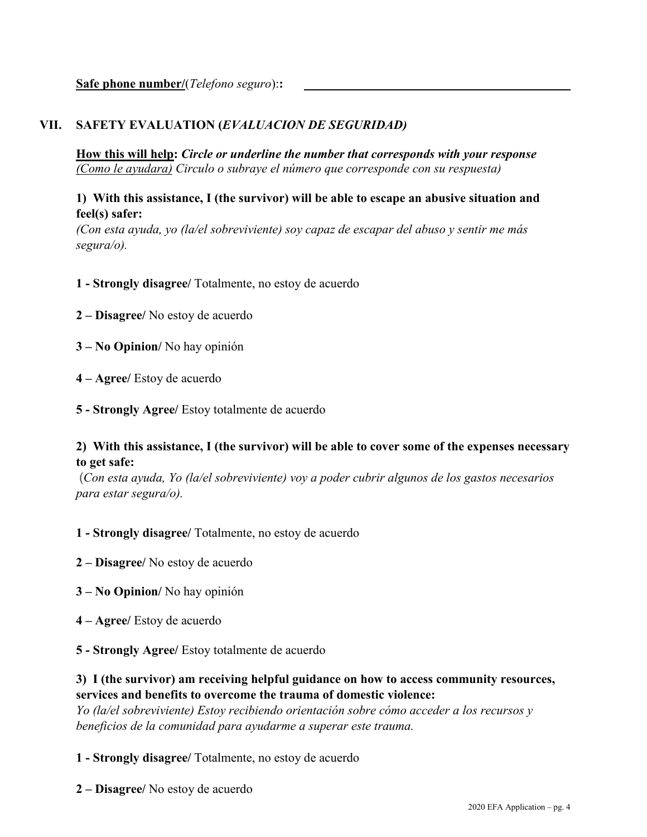# **VII. SAFETY EVALUATION (***EVALUACION DE SEGURIDAD)*

**How this will help:** *Circle or underline the number that corresponds with your response (Como le ayudara) Circulo o subraye el número que corresponde con su respuesta)*

## **1) With this assistance, I (the survivor) will be able to escape an abusive situation and feel(s) safer:**

*(Con esta ayuda, yo (la/el sobreviviente) soy capaz de escapar del abuso y sentir me más segura/o).*

- **1 - Strongly disagree/** Totalmente, no estoy de acuerdo
- **2 – Disagree/** No estoy de acuerdo
- **3 – No Opinion/** No hay opinión
- **4 – Agree/** Estoy de acuerdo
- **5 - Strongly Agree/** Estoy totalmente de acuerdo

# **2) With this assistance, I (the survivor) will be able to cover some of the expenses necessary to get safe:**

(*Con esta ayuda, Yo (la/el sobreviviente) voy a poder cubrir algunos de los gastos necesarios para estar segura/o).*

- **1 - Strongly disagree/** Totalmente, no estoy de acuerdo
- **2 – Disagree/** No estoy de acuerdo
- **3 – No Opinion/** No hay opinión
- **4 – Agree/** Estoy de acuerdo
- **5 - Strongly Agree/** Estoy totalmente de acuerdo

## **3) I (the survivor) am receiving helpful guidance on how to access community resources, services and benefits to overcome the trauma of domestic violence:**

*Yo (la/el sobreviviente) Estoy recibiendo orientación sobre cómo acceder a los recursos y beneficios de la comunidad para ayudarme a superar este trauma.*

**1 - Strongly disagree/** Totalmente, no estoy de acuerdo

**2 – Disagree/** No estoy de acuerdo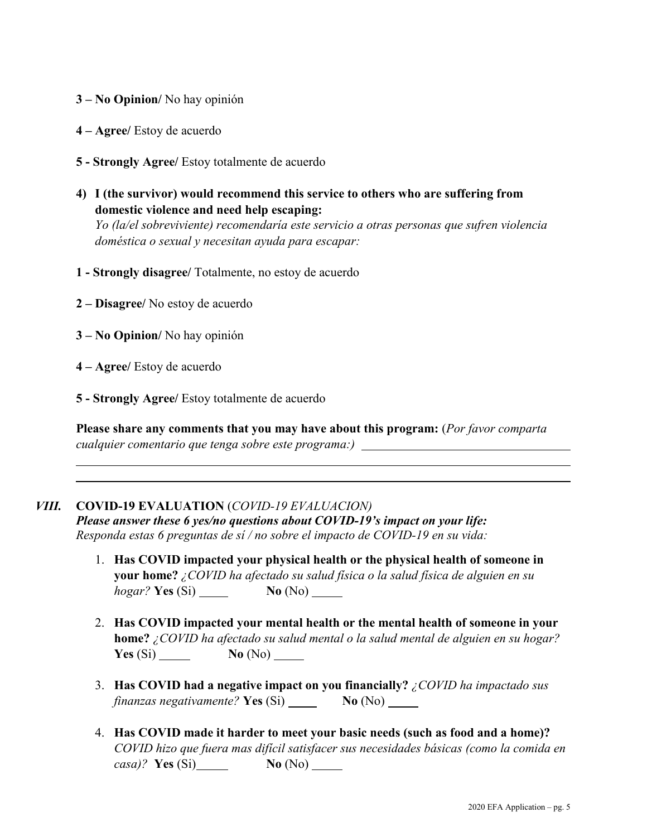- **3 – No Opinion/** No hay opinión
- **4 – Agree/** Estoy de acuerdo
- **5 - Strongly Agree/** Estoy totalmente de acuerdo
- **4) I (the survivor) would recommend this service to others who are suffering from domestic violence and need help escaping:** *Yo (la/el sobreviviente) recomendaría este servicio a otras personas que sufren violencia doméstica o sexual y necesitan ayuda para escapar:*
- **1 - Strongly disagree/** Totalmente, no estoy de acuerdo
- **2 – Disagree/** No estoy de acuerdo
- **3 – No Opinion/** No hay opinión
- **4 – Agree/** Estoy de acuerdo
- **5 - Strongly Agree/** Estoy totalmente de acuerdo

**Please share any comments that you may have about this program:** (*Por favor comparta cualquier comentario que tenga sobre este programa:)* 

### *VIII.* **COVID-19 EVALUATION** (*COVID-19 EVALUACION)*

*Please answer these 6 yes/no questions about COVID-19's impact on your life: Responda estas 6 preguntas de sí / no sobre el impacto de COVID-19 en su vida:*

- 1. **Has COVID impacted your physical health or the physical health of someone in your home?** *¿COVID ha afectado su salud física o la salud física de alguien en su*   $hogar?$  **Yes** (Si)  $\qquad \qquad$  **No** (No)  $\qquad \qquad$
- 2. **Has COVID impacted your mental health or the mental health of someone in your home?** *¿COVID ha afectado su salud mental o la salud mental de alguien en su hogar?* **Yes** (Si) **No** (No)
- 3. **Has COVID had a negative impact on you financially?** *¿COVID ha impactado sus*   $f$ *inanzas negativamente?* **Yes**  $(Si)$  **No**  $(No)$  **No**
- 4. **Has COVID made it harder to meet your basic needs (such as food and a home)?** *COVID hizo que fuera mas difícil satisfacer sus necesidades básicas (como la comida en casa)?* **Yes** (Si) **No** (No)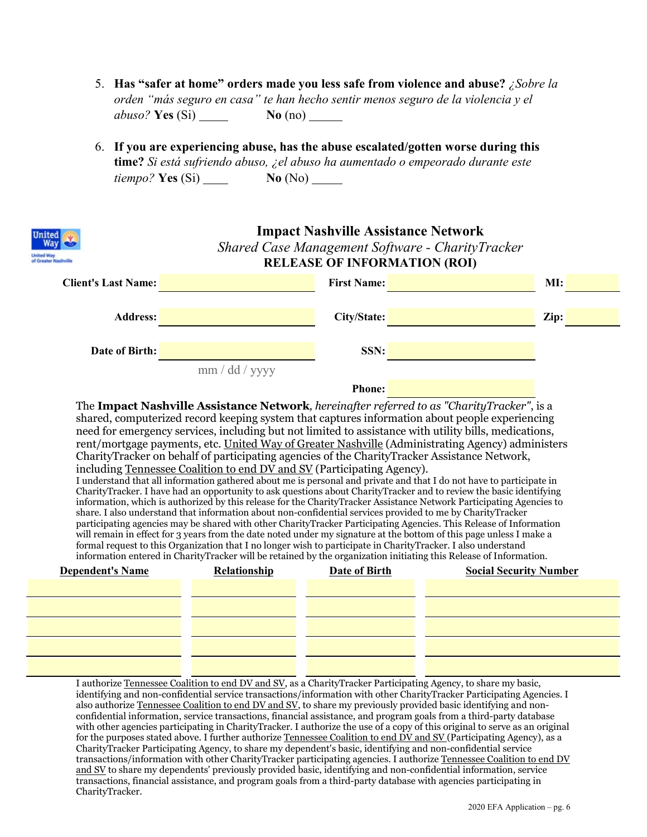- 5. **Has "safer at home" orders made you less safe from violence and abuse?** *¿Sobre la orden "más seguro en casa" te han hecho sentir menos seguro de la violencia y el abuso?* **Yes** (Si) **No** (no)
- 6. **If you are experiencing abuse, has the abuse escalated/gotten worse during this time?** *Si está sufriendo abuso, ¿el abuso ha aumentado o empeorado durante este*   $t$ *iempo?* **Yes** (Si) \_\_\_\_\_\_ **No** (No) \_\_\_\_\_

| United<br><b>United Way</b><br>of Greater Mashvil                                                                                                                                                                                                                                                                                                                                                                                                                                                                                                                                                                                                                                                                                                                                                                                                                                                                                                                                                                                                                                                                                                                                                                                                                                                                                                                                                                                                                                                                                                            | <b>Impact Nashville Assistance Network</b><br>Shared Case Management Software - CharityTracker<br><b>RELEASE OF INFORMATION (ROI)</b> |                    |                               |  |  |
|--------------------------------------------------------------------------------------------------------------------------------------------------------------------------------------------------------------------------------------------------------------------------------------------------------------------------------------------------------------------------------------------------------------------------------------------------------------------------------------------------------------------------------------------------------------------------------------------------------------------------------------------------------------------------------------------------------------------------------------------------------------------------------------------------------------------------------------------------------------------------------------------------------------------------------------------------------------------------------------------------------------------------------------------------------------------------------------------------------------------------------------------------------------------------------------------------------------------------------------------------------------------------------------------------------------------------------------------------------------------------------------------------------------------------------------------------------------------------------------------------------------------------------------------------------------|---------------------------------------------------------------------------------------------------------------------------------------|--------------------|-------------------------------|--|--|
| <b>Client's Last Name:</b>                                                                                                                                                                                                                                                                                                                                                                                                                                                                                                                                                                                                                                                                                                                                                                                                                                                                                                                                                                                                                                                                                                                                                                                                                                                                                                                                                                                                                                                                                                                                   |                                                                                                                                       | <b>First Name:</b> | MI:                           |  |  |
| <b>Address:</b>                                                                                                                                                                                                                                                                                                                                                                                                                                                                                                                                                                                                                                                                                                                                                                                                                                                                                                                                                                                                                                                                                                                                                                                                                                                                                                                                                                                                                                                                                                                                              |                                                                                                                                       | City/State:        | Zip:                          |  |  |
| Date of Birth:                                                                                                                                                                                                                                                                                                                                                                                                                                                                                                                                                                                                                                                                                                                                                                                                                                                                                                                                                                                                                                                                                                                                                                                                                                                                                                                                                                                                                                                                                                                                               |                                                                                                                                       | SSN:               |                               |  |  |
|                                                                                                                                                                                                                                                                                                                                                                                                                                                                                                                                                                                                                                                                                                                                                                                                                                                                                                                                                                                                                                                                                                                                                                                                                                                                                                                                                                                                                                                                                                                                                              | mm / dd / yyyy                                                                                                                        |                    |                               |  |  |
|                                                                                                                                                                                                                                                                                                                                                                                                                                                                                                                                                                                                                                                                                                                                                                                                                                                                                                                                                                                                                                                                                                                                                                                                                                                                                                                                                                                                                                                                                                                                                              |                                                                                                                                       | <b>Phone:</b>      |                               |  |  |
| The Impact Nashville Assistance Network, hereinafter referred to as "CharityTracker", is a<br>shared, computerized record keeping system that captures information about people experiencing<br>need for emergency services, including but not limited to assistance with utility bills, medications,<br>rent/mortgage payments, etc. United Way of Greater Nashville (Administrating Agency) administers<br>CharityTracker on behalf of participating agencies of the CharityTracker Assistance Network,<br>including Tennessee Coalition to end DV and SV (Participating Agency).<br>I understand that all information gathered about me is personal and private and that I do not have to participate in<br>CharityTracker. I have had an opportunity to ask questions about CharityTracker and to review the basic identifying<br>information, which is authorized by this release for the CharityTracker Assistance Network Participating Agencies to<br>share. I also understand that information about non-confidential services provided to me by CharityTracker<br>participating agencies may be shared with other CharityTracker Participating Agencies. This Release of Information<br>will remain in effect for 3 years from the date noted under my signature at the bottom of this page unless I make a<br>formal request to this Organization that I no longer wish to participate in CharityTracker. I also understand<br>information entered in CharityTracker will be retained by the organization initiating this Release of Information. |                                                                                                                                       |                    |                               |  |  |
| <b>Dependent's Name</b>                                                                                                                                                                                                                                                                                                                                                                                                                                                                                                                                                                                                                                                                                                                                                                                                                                                                                                                                                                                                                                                                                                                                                                                                                                                                                                                                                                                                                                                                                                                                      | Relationship                                                                                                                          | Date of Birth      | <b>Social Security Number</b> |  |  |
|                                                                                                                                                                                                                                                                                                                                                                                                                                                                                                                                                                                                                                                                                                                                                                                                                                                                                                                                                                                                                                                                                                                                                                                                                                                                                                                                                                                                                                                                                                                                                              |                                                                                                                                       |                    |                               |  |  |
|                                                                                                                                                                                                                                                                                                                                                                                                                                                                                                                                                                                                                                                                                                                                                                                                                                                                                                                                                                                                                                                                                                                                                                                                                                                                                                                                                                                                                                                                                                                                                              |                                                                                                                                       |                    |                               |  |  |
|                                                                                                                                                                                                                                                                                                                                                                                                                                                                                                                                                                                                                                                                                                                                                                                                                                                                                                                                                                                                                                                                                                                                                                                                                                                                                                                                                                                                                                                                                                                                                              |                                                                                                                                       |                    |                               |  |  |
|                                                                                                                                                                                                                                                                                                                                                                                                                                                                                                                                                                                                                                                                                                                                                                                                                                                                                                                                                                                                                                                                                                                                                                                                                                                                                                                                                                                                                                                                                                                                                              |                                                                                                                                       |                    |                               |  |  |
|                                                                                                                                                                                                                                                                                                                                                                                                                                                                                                                                                                                                                                                                                                                                                                                                                                                                                                                                                                                                                                                                                                                                                                                                                                                                                                                                                                                                                                                                                                                                                              |                                                                                                                                       |                    |                               |  |  |

I authorize Tennessee Coalition to end DV and SV, as a CharityTracker Participating Agency, to share my basic, identifying and non-confidential service transactions/information with other CharityTracker Participating Agencies. I also authorize Tennessee Coalition to end DV and SV, to share my previously provided basic identifying and nonconfidential information, service transactions, financial assistance, and program goals from a third-party database with other agencies participating in CharityTracker. I authorize the use of a copy of this original to serve as an original for the purposes stated above. I further authorize <u>Tennessee Coalition to end DV and SV (</u>Participating Agency), as a CharityTracker Participating Agency, to share my dependent's basic, identifying and non-confidential service transactions/information with other CharityTracker participating agencies. I authorize Tennessee Coalition to end DV and SV to share my dependents' previously provided basic, identifying and non-confidential information, service transactions, financial assistance, and program goals from a third-party database with agencies participating in CharityTracker.